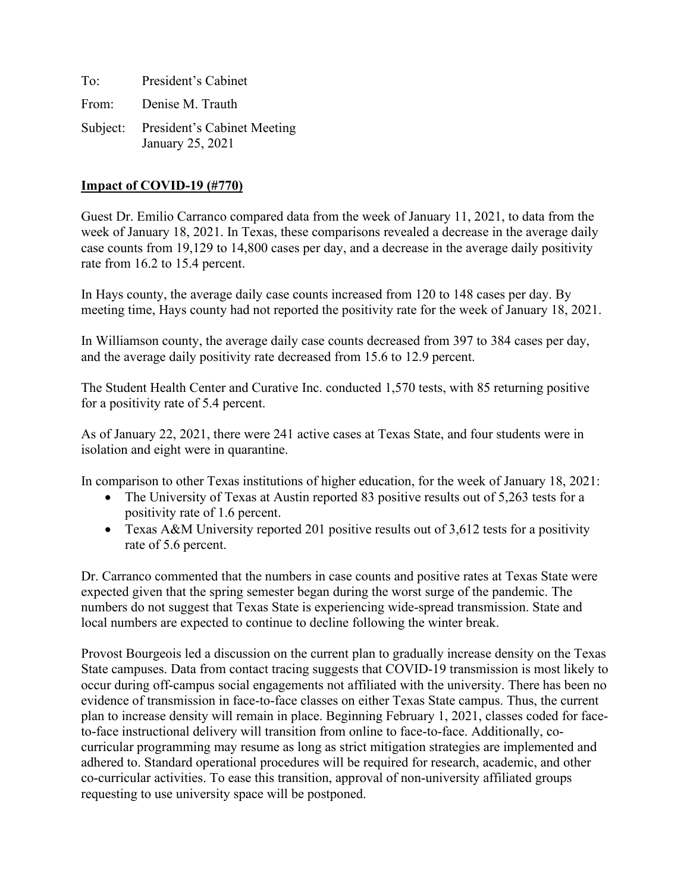| To: | President's Cabinet                                      |
|-----|----------------------------------------------------------|
|     | From: Denise M. Trauth                                   |
|     | Subject: President's Cabinet Meeting<br>January 25, 2021 |

### **Impact of COVID-19 (#770)**

Guest Dr. Emilio Carranco compared data from the week of January 11, 2021, to data from the week of January 18, 2021. In Texas, these comparisons revealed a decrease in the average daily case counts from 19,129 to 14,800 cases per day, and a decrease in the average daily positivity rate from 16.2 to 15.4 percent.

In Hays county, the average daily case counts increased from 120 to 148 cases per day. By meeting time, Hays county had not reported the positivity rate for the week of January 18, 2021.

In Williamson county, the average daily case counts decreased from 397 to 384 cases per day, and the average daily positivity rate decreased from 15.6 to 12.9 percent.

The Student Health Center and Curative Inc. conducted 1,570 tests, with 85 returning positive for a positivity rate of 5.4 percent.

As of January 22, 2021, there were 241 active cases at Texas State, and four students were in isolation and eight were in quarantine.

In comparison to other Texas institutions of higher education, for the week of January 18, 2021:

- The University of Texas at Austin reported 83 positive results out of 5,263 tests for a positivity rate of 1.6 percent.
- Texas A&M University reported 201 positive results out of 3,612 tests for a positivity rate of 5.6 percent.

Dr. Carranco commented that the numbers in case counts and positive rates at Texas State were expected given that the spring semester began during the worst surge of the pandemic. The numbers do not suggest that Texas State is experiencing wide-spread transmission. State and local numbers are expected to continue to decline following the winter break.

Provost Bourgeois led a discussion on the current plan to gradually increase density on the Texas State campuses. Data from contact tracing suggests that COVID-19 transmission is most likely to occur during off-campus social engagements not affiliated with the university. There has been no evidence of transmission in face-to-face classes on either Texas State campus. Thus, the current plan to increase density will remain in place. Beginning February 1, 2021, classes coded for faceto-face instructional delivery will transition from online to face-to-face. Additionally, cocurricular programming may resume as long as strict mitigation strategies are implemented and adhered to. Standard operational procedures will be required for research, academic, and other co-curricular activities. To ease this transition, approval of non-university affiliated groups requesting to use university space will be postponed.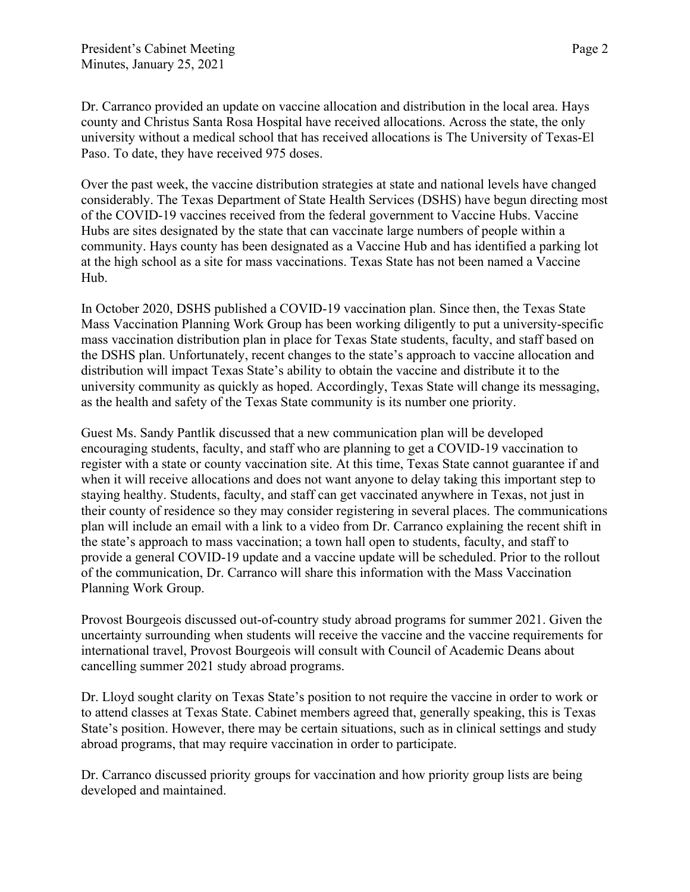Dr. Carranco provided an update on vaccine allocation and distribution in the local area. Hays county and Christus Santa Rosa Hospital have received allocations. Across the state, the only university without a medical school that has received allocations is The University of Texas-El Paso. To date, they have received 975 doses.

Over the past week, the vaccine distribution strategies at state and national levels have changed considerably. The Texas Department of State Health Services (DSHS) have begun directing most of the COVID-19 vaccines received from the federal government to Vaccine Hubs. Vaccine Hubs are sites designated by the state that can vaccinate large numbers of people within a community. Hays county has been designated as a Vaccine Hub and has identified a parking lot at the high school as a site for mass vaccinations. Texas State has not been named a Vaccine Hub.

In October 2020, DSHS published a COVID-19 vaccination plan. Since then, the Texas State Mass Vaccination Planning Work Group has been working diligently to put a university-specific mass vaccination distribution plan in place for Texas State students, faculty, and staff based on the DSHS plan. Unfortunately, recent changes to the state's approach to vaccine allocation and distribution will impact Texas State's ability to obtain the vaccine and distribute it to the university community as quickly as hoped. Accordingly, Texas State will change its messaging, as the health and safety of the Texas State community is its number one priority.

Guest Ms. Sandy Pantlik discussed that a new communication plan will be developed encouraging students, faculty, and staff who are planning to get a COVID-19 vaccination to register with a state or county vaccination site. At this time, Texas State cannot guarantee if and when it will receive allocations and does not want anyone to delay taking this important step to staying healthy. Students, faculty, and staff can get vaccinated anywhere in Texas, not just in their county of residence so they may consider registering in several places. The communications plan will include an email with a link to a video from Dr. Carranco explaining the recent shift in the state's approach to mass vaccination; a town hall open to students, faculty, and staff to provide a general COVID-19 update and a vaccine update will be scheduled. Prior to the rollout of the communication, Dr. Carranco will share this information with the Mass Vaccination Planning Work Group.

Provost Bourgeois discussed out-of-country study abroad programs for summer 2021. Given the uncertainty surrounding when students will receive the vaccine and the vaccine requirements for international travel, Provost Bourgeois will consult with Council of Academic Deans about cancelling summer 2021 study abroad programs.

Dr. Lloyd sought clarity on Texas State's position to not require the vaccine in order to work or to attend classes at Texas State. Cabinet members agreed that, generally speaking, this is Texas State's position. However, there may be certain situations, such as in clinical settings and study abroad programs, that may require vaccination in order to participate.

Dr. Carranco discussed priority groups for vaccination and how priority group lists are being developed and maintained.